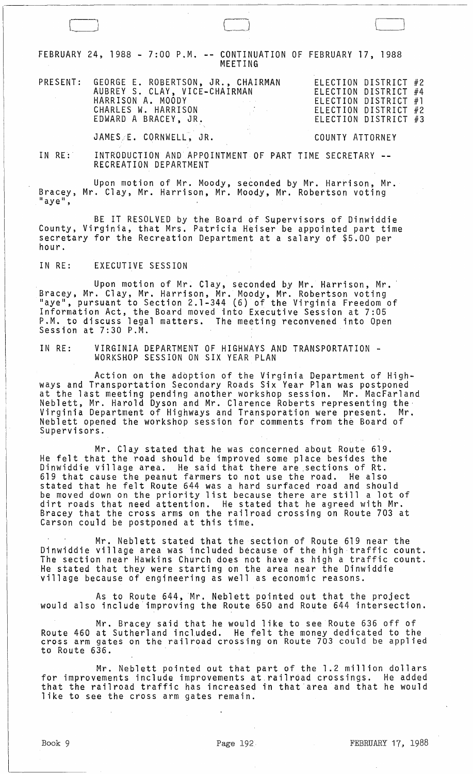FEBRUARY 24, 1988 - 7:00 P.M. **--** CONTINUATION OF FEBRUARY 17, 1988 MEETING

|  | PRESENT: GEORGE E. ROBERTSON, JR., CHAIRMAN                           | ELECTION DISTRICT #2   |
|--|-----------------------------------------------------------------------|------------------------|
|  | AUBREY S. CLAY, VICE-CHAIRMAN                                         | ELECTION DISTRICT #4   |
|  | HARRISON A. MOODY<br>the control of the control of the control of the | ELECTION DISTRICT $#1$ |
|  | CHARLES W. HARRISON                                                   | ELECTION DISTRICT #2   |
|  | EDWARD A BRACEY, JR.                                                  | ELECTION DISTRICT #3   |
|  |                                                                       |                        |

JAMESE. CORNWELL, JR. COUNTY ATTORNEY

IN RE: INTRODUCTION AND APPOINTMENT OF PART TIME SECRETARY --RECREATION DEPARTMENT

Upon motion of Mr. Moody, seconded by Mr. Harrison, Mr. Bracey, Mr. Clay, Mr. Harrison, Mr. Moody, Mr. Robertson voting<br>"aye",

BE IT RESOLVED by the Board of Supervisors of Dinwiddie County, Virginia, that Mrs. Patricia Heiser be appointed part time secretary for the Recreation Department at a salary of \$5.00 per<br>hour.

IN RE: EXECUTIVE SESSION

 $\Box$ 

Upon motion of Mr. Clay, seconded by Mr. Harrison, Mr.<br>Bracey, Mr. Clay, Mr. Harrison, Mr. Moody, Mr. Robertson voting<br>"aye", pursuant to Section 2.1-344 (6) of the Virginia Freedom of Information Act, the Board moved into Executive Session at 7:05 P.M. to discuss legal matters. The meeting reconvened into Open Session at 7:30 P.M.

IN RE: VIRGINIA DEPARTMENT OF HIGHWAYS AND TRANSPORTATION - WORKSHOP SESSION ON SIX YEAR PLAN

Action on the adoption of the Virginia Department of Highways and Transportation Secondary Roads Six Year Plan was postponed at the last meeting pending another workshop session. Mr. MacFarland Neblett, Mr. Harold Dyson and Mr. Clarence Roberts representing the· Virginia Department of Highways and Transporation were present. Mr. Neblett opened the workshop session for comments from the Board of Supervisors.

Mr. Clay stated that he was concerned about Route 619. He felt that the road should be improved some place besides the Dinwiddie village area. He said that there are .sections of Rt. 619 that cause the peanut farmers to not use the road. He also stated that he felt Route 644 was a hard surfaced road and should be moved down on the priority list because there are still a lot of dirt roads that need attention. He stated that he agreed with Mr. Bracey that the cross arms on the railroad crossing on Route 703 at Carson could be postponed at this time.

Mr. Neblett stated that the section of Route 619 near the Dinwiddie village area was included because of the high traffic count. The section near Hawkins Church does not have as high a traffic count. He stated that they were starting on the area near the Dinwiddie village because of engineering as well as economic reasons.

As to Route 644, Mr. Neblett pointed out that the project would also include improving the Route 650 and Route 644 intersection.

Mr. Bracey said that he would like to see Route 636 off of Route 460 at Sutherland included. He felt the money dedicated to the cross arm gates on the railroad crossing on Route 703 could be applied to Route 636.

Mr. Neblett pointed out that part of the 1.2 million dollars for improvements include improvements at. railroad crossings. He added that the railroad traffic has increased in that'area and that he would like to see the cross arm gates remain.

 $\bigcup$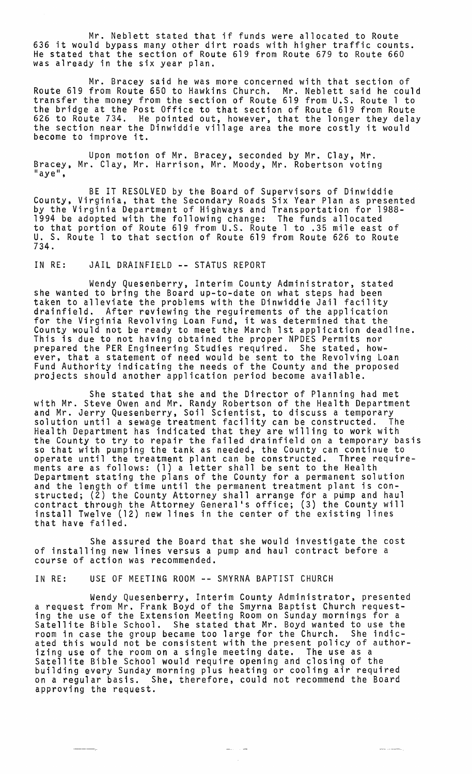Mr. Neblett stated that if funds were allocated to Route 636 it would bypass many other dirt roads with higher traffic counts. He stated that the section of Route 619 from Route 679 to Route 660 was already in the six year plan.

Mr. Bracey said he was more concerned with that section of Route 619 from Route 650 to Hawkins Church. Mr. Neblett said he could transfer the money from the section of Route 619 from U.S. Route 1 to the bridge at the Post Office to that section of Route 619 from Route 626 to Route 734. He pointed out, however, that the longer they delay<br>the section near the Dinwiddie village area the more costly it would become to improve it.

Upon motion of Mr. Bracey, seconded by Mr. Clay, Mr. Bracey, Mr. Clay, Mr. Harrison, Mr. Moody, Mr. Robertson voting<br>"aye",

BE IT RESOLVED by the Board of Supervisors of Dinwiddie County, Virginia, that the Secondary Roads Six Year Plan as presented by the Virginia Department of Highways and Transportation for 1988- 1994 be adopted with the following change: The funds allocated to that portion of Route 619 from U.S. Route 1 to .35 mile east of U. S. Route 1 to that section of Route 619 from Route 626 to Route 734.

# IN RE: JAIL DRAINFIELD **--** STATUS REPORT

Wendy Quesenberry, Interim County Administrator, stated she wanted to bring the Board up-to-date on what steps had been taken to alleviate the problems with the Dinwiddie Jail facility drainfie1d. After reviewing the reguirements of the application for the Virginia Revolving Loan Fund, it was determined that the County would not be ready to meet the March 1st application deadline. This is due to not having obtained the proper NPDES Permits nor prepared the PER Engineering Studies required. She stated, however, that a statement of need would be sent to the Revolving Loan Fund Authority indicating the needs of the County and the proposed projects should another application period become available.

She stated that she and the Director of Planning had met with Mr. Steve Owen and Mr. Randy Robertson of the Health Department<br>and Mr. Jerry Quesenberry, Soil Scientist, to discuss a temporary solution until a sewage treatment facility can be constructed. The Health Department has indicated that they are willing to work with the County to try to repair the failed drainfie1d on a temporary basis so that with pumping the tank as needed, the County can continue to operate until the treatment plant can be constructed. Three requirements are as follows: (1) a letter shall be sent to the Health Department stating the plans of the County for a permanent solution and the length of time until the permanent treatment plant is constructed; (2) the County Attorney shall arrange for a pump and haul contract through the Attorney Genera1's office; (3) the County will install Twelve (12) new lines in the center of the existing lines that have failed.

She assured the Board that she would investigate the cost of installing new lines versus a pump and haul contract before a course of action was recommended.

## IN RE: USE OF MEETING ROOM **--** SMYRNA BAPTIST CHURCH

Wendy Quesenberry, Interim County Administrator, presented a request from Mr. Frank Boyd of the Smyrna Baptist Church request- ing the use of the Extension Meeting Room on Sunday mornings for a Satellite Bible School. She stated that Mr. Boyd wanted to use the room in case the group became too large for the Church. She indicated this would not be consistent with the present policy of authorizing use of the room on a single meeting date. The use as a Satellite Bible School would require opening and closing of the building every Sunday morning plus heating or cooling air required on a regular basis. She, therefore, could not recommend the Board approving the request.

 $\begin{array}{lll} \hline \textbf{1} & \textbf{1} & \textbf{1} & \textbf{1} & \textbf{1} & \textbf{1} & \textbf{1} & \textbf{1} & \textbf{1} & \textbf{1} & \textbf{1} & \textbf{1} & \textbf{1} & \textbf{1} & \textbf{1} & \textbf{1} & \textbf{1} & \textbf{1} & \textbf{1} & \textbf{1} & \textbf{1} & \textbf{1} & \textbf{1} & \textbf{1} & \textbf{1} & \textbf{1} & \textbf{1} & \textbf{1} & \textbf{1} & \textbf{1}$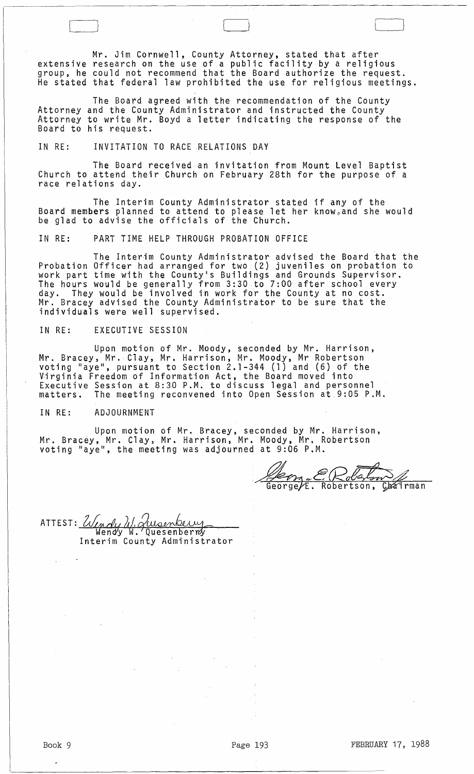Mr. Jim Cornwell, County Attorney, stated that after extensive research on the use of a public facility by a religious group, he could not recommend that the Board authorize the request. He stated that federal law prohibited the use for religious meetings.

The Board agreed with the recommendation of the County<br>Attorney and the County Administrator and instructed the County Attorney and the County Administrator and instructed the County<br>Attorney to write Mr. Boyd a letter indicating the response of the Board to his request.

## IN RE: INVITATION TO RACE RELATIONS DAY

The Board received an invitation from Mount Level Baptist Church to attend their Church on February 28th for the purpose of a race relations day.

The Interim County Administrator stated if any of the Board members planned to attend to please let her knowpand she would be glad to advise the officials of the Church.

IN RE: PART TIME HELP THROUGH PROBATION OFFICE

The Interim County Administrator advised the Board that the Probation Officer had arranged for two (2) juveniles on probation to work part time with the County's Buildings and Grounds Supervisor. The hours would be generally from 3:30 to 7:00 after school every day. They would be involved in work for the County at no cost. Mr. Bracey advised the County Administrator to be sure that the individuals were well supervised.

### IN RE: EXECUTIVE SESSION

 $\begin{pmatrix} \frac{1}{2} & \frac{1}{2} \\ \frac{1}{2} & \frac{1}{2} \end{pmatrix}$ 

Upon motion of Mr. Moody, seconded by Mr. Harrison, Mr. Bracey, Mr. Clay, Mr. Harrison, Mr. Moody, Mr Robertson voting "aye", pursuant to Section 2.1-344 (1) and (6) of the Virginia Freedom of Information Act, the Board moved into Executive Session at 8:30 P.M. to discuss legal and personnel matters. The meeting reconvened into Open Session at 9:05 P.M.

#### IN RE: ADJOURNMENT

Upon motion of Mr. Bracey, seconded by Mr. Harrison, Mr. Bracey, Mr. Clay, Mr. Harrison, Mr. Moody, Mr. Robertson voting "aye", the meeting was adjourned at 9:06 P.M.

 $ER$  $\frac{\partial}{\partial u}$ Ceorge/E. əw Robertson, Chairman

ATTEST: Undy W. Jusenberry

Interim County Administrator